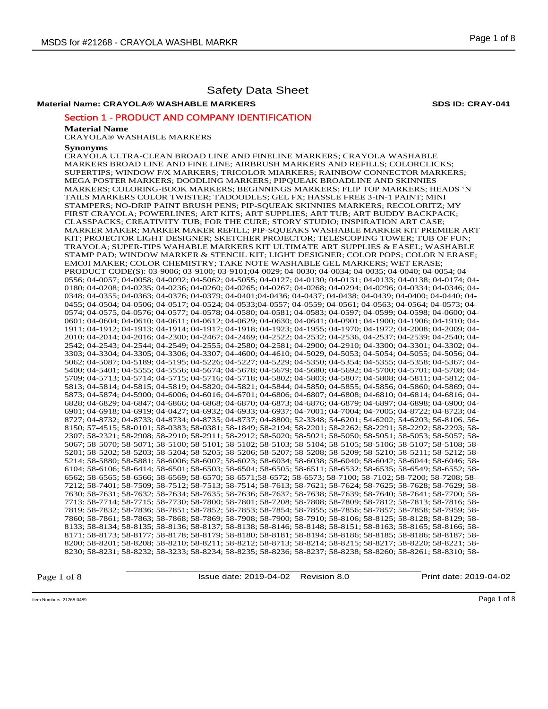# **Material Name: CRAYOLA® WASHABLE MARKERS SDS ID: CRAY-041**

## Section 1 - PRODUCT AND COMPANY IDENTIFICATION

#### **Material Name**

CRAYOLA® WASHABLE MARKERS

#### **Synonyms**

CRAYOLA ULTRA-CLEAN BROAD LINE AND FINELINE MARKERS; CRAYOLA WASHABLE MARKERS BROAD LINE AND FINE LINE; AIRBRUSH MARKERS AND REFILLS; COLORCLICKS; SUPERTIPS; WINDOW F/X MARKERS; TRICOLOR MIARKERS; RAINBOW CONNECTOR MARKERS; MEGA POSTER MARKERS; DOODLING MARKERS; PIPQUEAK BROADLINE AND SKINNIES MARKERS; COLORING-BOOK MARKERS; BEGINNINGS MARKERS; FLIP TOP MARKERS; HEADS 'N TAILS MARKERS COLOR TWISTER; TADOODLES; GEL FX; HASSLE FREE 3-IN-1 PAINT; MINI STAMPERS; NO-DRIP PAINT BRUSH PENS; PIP-SQUEAK SKINNIES MARKERS; RECOLORITZ; MY FIRST CRAYOLA; POWERLINES; ART KITS; ART SUPPLIES; ART TUB; ART BUDDY BACKPACK; CLASSPACKS; CREATIVITY TUB; FOR THE CURE; STORY STUDIO; INSPIRATION ART CASE; MARKER MAKER; MARKER MAKER REFILL; PIP-SQUEAKS WASHABLE MARKER KIT PREMIER ART KIT; PROJECTOR LIGHT DESIGNER; SKETCHER PROJECTOR; TELESCOPING TOWER; TUB OF FUN; TRAYOLA; SUPER-TIPS WAHABLE MARKERS KIT ULTIMATE ART SUPPLIES & EASEL; WASHABLE STAMP PAD; WINDOW MARKER & STENCIL KIT; LIGHT DESIGNER; COLOR POPS; COLOR N ERASE; EMOJI MAKER; COLOR CHEMISTRY; TAKE NOTE WASHABLE GEL MARKERS; WET ERASE; PRODUCT CODE(S): 03-9006; 03-9100; 03-9101;04-0029; 04-0030; 04-0034; 04-0035; 04-0040; 04-0054; 04- 0556; 04-0057; 04-0058; 04-0092; 04-5062; 04-5055; 04-0127; 04-0130; 04-0131; 04-0133; 04-0138; 04-0174; 04- 0180; 04-0208; 04-0235; 04-0236; 04-0260; 04-0265; 04-0267; 04-0268; 04-0294; 04-0296; 04-0334; 04-0346; 04- 0348; 04-0355; 04-0363; 04-0376; 04-0379; 04-0401;04-0436; 04-0437; 04-0438; 04-0439; 04-0400; 04-0440; 04- 0455; 04-0504; 04-0506; 04-0517; 04-0524; 04-0533;04-0557; 04-0559; 04-0561; 04-0563; 04-0564; 04-0573; 04- 0574; 04-0575, 04-0576; 04-0577; 04-0578; 04-0580; 04-0581; 04-0583; 04-0597; 04-0599; 04-0598; 04-0600; 04- 0601; 04-0604; 04-0610; 04-0611; 04-0612; 04-0629; 04-0630; 04-0641; 04-0901; 04-1900; 04-1906; 04-1910; 04- 1911; 04-1912; 04-1913; 04-1914; 04-1917; 04-1918; 04-1923; 04-1955; 04-1970; 04-1972; 04-2008; 04-2009; 04- 2010; 04-2014; 04-2016; 04-2300; 04-2467; 04-2469; 04-2522; 04-2532; 04-2536, 04-2537; 04-2539; 04-2540; 04- 2542; 04-2543; 04-2544; 04-2549; 04-2555; 04-2580; 04-2581; 04-2900; 04-2910; 04-3300; 04-3301; 04-3302; 04- 3303; 04-3304; 04-3305; 04-3306; 04-3307; 04-4600; 04-4610; 04-5029, 04-5053; 04-5054; 04-5055; 04-5056; 04- 5062; 04-5087; 04-5189; 04-5195; 04-5226; 04-5227; 04-5229; 04-5350; 04-5354; 04-5355; 04-5358; 04-5367; 04- 5400; 04-5401; 04-5555; 04-5556; 04-5674; 04-5678; 04-5679; 04-5680; 04-5692; 04-5700; 04-5701; 04-5708; 04- 5709; 04-5713; 04-5714; 04-5715; 04-5716; 04-5718; 04-5802; 04-5803; 04-5807; 04-5808; 04-5811; 04-5812; 04- 5813; 04-5814; 04-5815; 04-5819; 04-5820; 04-5821; 04-5844; 04-5850; 04-5855; 04-5856; 04-5860; 04-5869; 04- 5873; 04-5874; 04-5900; 04-6006; 04-6016; 04-6701; 04-6806; 04-6807; 04-6808; 04-6810; 04-6814; 04-6816; 04- 6828; 04-6829; 04-6847; 04-6866; 04-6868; 04-6870; 04-6873; 04-6876; 04-6879; 04-6897; 04-6898; 04-6900; 04- 6901; 04-6918; 04-6919; 04-0427; 04-6932; 04-6933; 04-6937; 04-7001; 04-7004; 04-7005; 04-8722; 04-8723; 04- 8727; 04-8732; 04-8733; 04-8734; 04-8735; 04-8737; 04-8800; 52-3348; 54-6201; 54-6202; 54-6203; 56-8106. 56- 8150; 57-4515; 58-0101; 58-0383; 58-0381; 58-1849; 58-2194; 58-2201; 58-2262; 58-2291; 58-2292; 58-2293; 58- 2307; 58-2321; 58-2908; 58-2910; 58-2911; 58-2912; 58-5020; 58-5021; 58-5050; 58-5051; 58-5053; 58-5057; 58- 5067; 58-5070; 58-5071; 58-5100; 58-5101; 58-5102; 58-5103; 58-5104; 58-5105; 58-5106; 58-5107; 58-5108; 58- 5201; 58-5202; 58-5203; 58-5204; 58-5205; 58-5206; 58-5207; 58-5208; 58-5209; 58-5210; 58-5211; 58-5212; 58- 5214; 58-5880; 58-5881; 58-6006; 58-6007; 58-6023; 58-6034; 58-6038; 58-6040; 58-6042; 58-6044; 58-6046; 58- 6104; 58-6106; 58-6414; 58-6501; 58-6503; 58-6504; 58-6505; 58-6511; 58-6532; 58-6535; 58-6549; 58-6552; 58- 6562; 58-6565; 58-6566; 58-6569; 58-6570; 58-6571;58-6572; 58-6573; 58-7100; 58-7102; 58-7200; 58-7208; 58- 7212; 58-7401; 58-7509; 58-7512; 58-7513; 58-7514; 58-7613; 58-7621; 58-7624; 58-7625; 58-7628; 58-7629; 58- 7630; 58-7631; 58-7632; 58-7634; 58-7635; 58-7636; 58-7637; 58-7638; 58-7639; 58-7640; 58-7641; 58-7700; 58- 7713; 58-7714; 58-7715; 58-7730; 58-7800; 58-7801; 58-7208; 58-7808; 58-7809; 58-7812; 58-7813; 58-7816; 58- 7819; 58-7832; 58-7836; 58-7851; 58-7852; 58-7853; 58-7854; 58-7855; 58-7856; 58-7857; 58-7858; 58-7959; 58- 7860; 58-7861; 58-7863; 58-7868; 58-7869; 58-7908; 58-7900; 58-7910; 58-8106; 58-8125; 58-8128; 58-8129; 58- 8133; 58-8134; 58-8135; 58-8136; 58-8137; 58-8138; 58-8146; 58-8148; 58-8151; 58-8163; 58-8165; 58-8166; 58- 8171; 58-8173; 58-8177; 58-8178; 58-8179; 58-8180; 58-8181; 58-8194; 58-8186; 58-8185; 58-8186; 58-8187; 58- 8200; 58-8201; 58-8208; 58-8210; 58-8211; 58-8212; 58-8713; 58-8214; 58-8215; 58-8217; 58-8220; 58-8221; 58- 8230; 58-8231; 58-8232; 58-3233; 58-8234; 58-8235; 58-8236; 58-8237; 58-8238; 58-8260; 58-8261; 58-8310; 58-

> \_\_\_\_\_\_\_\_\_\_\_\_\_\_\_\_\_\_\_\_\_\_\_\_\_\_\_\_\_\_\_\_\_\_\_\_\_\_\_\_\_\_\_\_\_\_\_\_\_\_\_\_\_\_\_\_\_\_\_\_ Issue date: 2019-04-02 Revision 8.0 Print date: 2019-04-02

Page 1 of 8

Item Numbers: 21268-0489 Page 1 of 8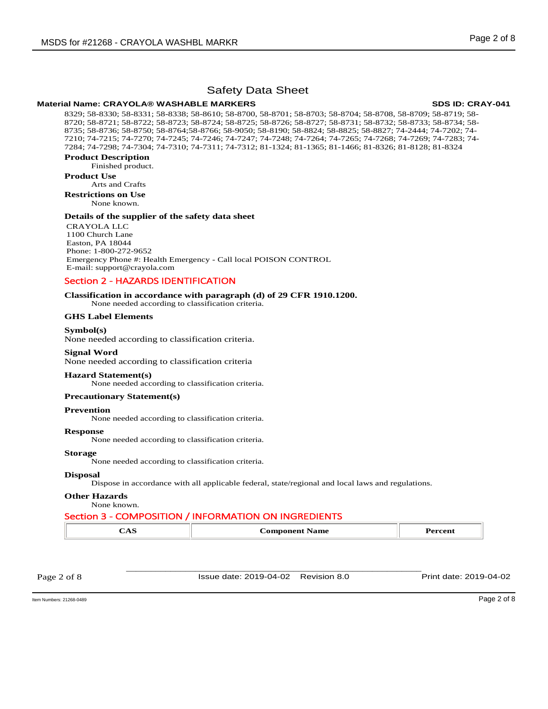# **Material Name: CRAYOLA® WASHABLE MARKERS 
WASHABLE MARKERS**

8329; 58-8330; 58-8331; 58-8338; 58-8610; 58-8700, 58-8701; 58-8703; 58-8704; 58-8708, 58-8709; 58-8719; 58- 8720; 58-8721; 58-8722; 58-8723; 58-8724; 58-8725; 58-8726; 58-8727; 58-8731; 58-8732; 58-8733; 58-8734; 58- 8735; 58-8736; 58-8750; 58-8764;58-8766; 58-9050; 58-8190; 58-8824; 58-8825; 58-8827; 74-2444; 74-7202; 74- 7210; 74-7215; 74-7270; 74-7245; 74-7246; 74-7247; 74-7248; 74-7264; 74-7265; 74-7268; 74-7269; 74-7283; 74- 7284; 74-7298; 74-7304; 74-7310; 74-7311; 74-7312; 81-1324; 81-1365; 81-1466; 81-8326; 81-8128; 81-8324

# **Product Description**

Finished product.

# **Product Use**

Arts and Crafts **Restrictions on Use**

None known.

# **Details of the supplier of the safety data sheet**

CRAYOLA LLC 1100 Church Lane Easton, PA 18044 Phone: 1-800-272-9652 Emergency Phone #: Health Emergency - Call local POISON CONTROL E-mail: support@crayola.com

# Section 2 - HAZARDS IDENTIFICATION

# **Classification in accordance with paragraph (d) of 29 CFR 1910.1200.**

None needed according to classification criteria.

# **GHS Label Elements**

# **Symbol(s)**

None needed according to classification criteria.

**Signal Word**  None needed according to classification criteria

# **Hazard Statement(s)**

None needed according to classification criteria.

# **Precautionary Statement(s)**

**Prevention** 

None needed according to classification criteria.

# **Response**

None needed according to classification criteria.

**Storage** 

None needed according to classification criteria.

# **Disposal**

Dispose in accordance with all applicable federal, state/regional and local laws and regulations.

# **Other Hazards**

None known.

# Section 3 - COMPOSITION / INFORMATION ON INGREDIENTS

| $'$ consider compared<br>'ame<br>----<br>ı |
|--------------------------------------------|
|--------------------------------------------|

Issue date: 2019-04-02 Revision 8.0 Print date: 2019-04-02

\_\_\_\_\_\_\_\_\_\_\_\_\_\_\_\_\_\_\_\_\_\_\_\_\_\_\_\_\_\_\_\_\_\_\_\_\_\_\_\_\_\_\_\_\_\_\_\_\_\_\_\_\_\_\_\_\_\_\_\_

Item Numbers: 21268-0489 Page 2 of 8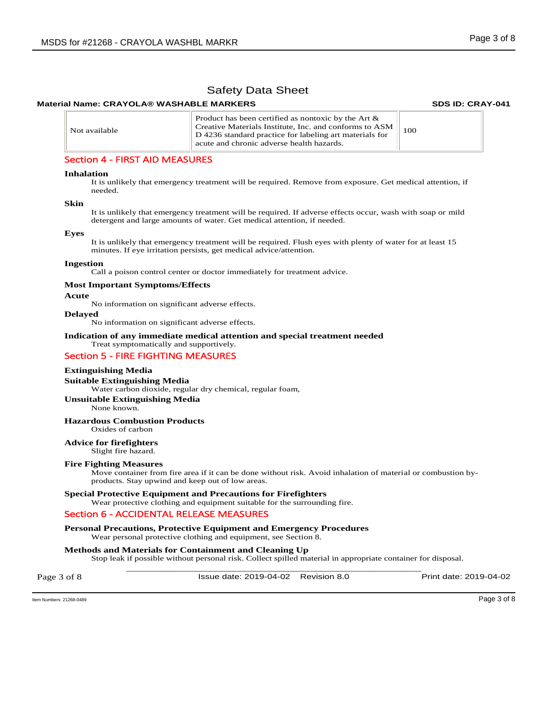### **Material Name: CRAYOLA® WASHABLE MARKERS 
WASHABLE MARKERS**

| Not available | Product has been certified as nontoxic by the Art $\&$<br>Creative Materials Institute, Inc. and conforms to ASM<br>D 4236 standard practice for labeling art materials for<br>acute and chronic adverse health hazards. | 100 |
|---------------|--------------------------------------------------------------------------------------------------------------------------------------------------------------------------------------------------------------------------|-----|
|---------------|--------------------------------------------------------------------------------------------------------------------------------------------------------------------------------------------------------------------------|-----|

# Section 4 - FIRST AID MEASURES

#### **Inhalation**

It is unlikely that emergency treatment will be required. Remove from exposure. Get medical attention, if needed.

#### **Skin**

It is unlikely that emergency treatment will be required. If adverse effects occur, wash with soap or mild detergent and large amounts of water. Get medical attention, if needed.

#### **Eyes**

It is unlikely that emergency treatment will be required. Flush eyes with plenty of water for at least 15 minutes. If eye irritation persists, get medical advice/attention.

#### **Ingestion**

Call a poison control center or doctor immediately for treatment advice.

#### **Most Important Symptoms/Effects**

#### **Acute**

No information on significant adverse effects.

#### **Delayed**

No information on significant adverse effects.

#### **Indication of any immediate medical attention and special treatment needed**  Treat symptomatically and supportively.

# Section 5 - FIRE FIGHTING MEASURES

#### **Extinguishing Media**

#### **Suitable Extinguishing Media**

Water carbon dioxide, regular dry chemical, regular foam,

#### **Unsuitable Extinguishing Media**

None known.

#### **Hazardous Combustion Products**

Oxides of carbon

# **Advice for firefighters**

Slight fire hazard.

#### **Fire Fighting Measures**

Move container from fire area if it can be done without risk. Avoid inhalation of material or combustion byproducts. Stay upwind and keep out of low areas.

#### **Special Protective Equipment and Precautions for Firefighters**

Wear protective clothing and equipment suitable for the surrounding fire.

### Section 6 - ACCIDENTAL RELEASE MEASURES

**Personal Precautions, Protective Equipment and Emergency Procedures**  Wear personal protective clothing and equipment, see Section 8.

### **Methods and Materials for Containment and Cleaning Up**

\_\_\_\_\_\_\_\_\_\_\_\_\_\_\_\_\_\_\_\_\_\_\_\_\_\_\_\_\_\_\_\_\_\_\_\_\_\_\_\_\_\_\_\_\_\_\_\_\_\_\_\_\_\_\_\_\_\_\_\_ Stop leak if possible without personal risk. Collect spilled material in appropriate container for disposal.

Page 3 of 8 Issue date: 2019-04-02 Revision 8.0 Print date: 2019-04-02

Item Numbers: 21268-0489 Page 3 of 8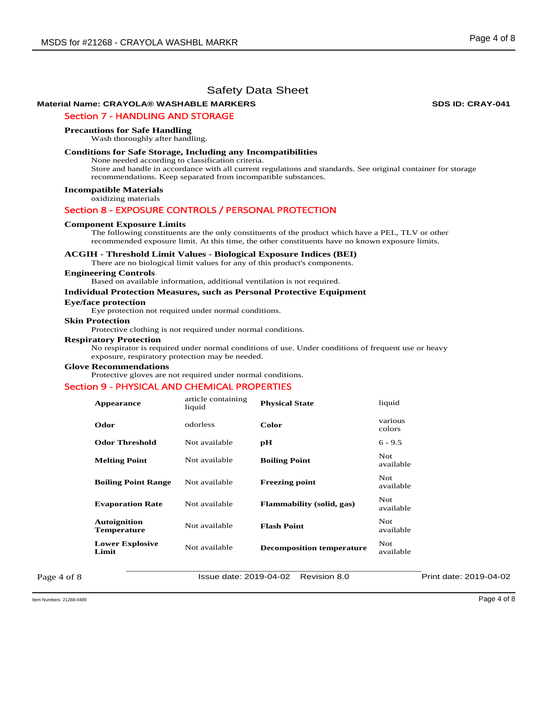# **Material Name: CRAYOLA® WASHABLE MARKERS 
WASHABLE MARKERS**

# Section 7 - HANDLING AND STORAGE

#### **Precautions for Safe Handling**

Wash thoroughly after handling.

### **Conditions for Safe Storage, Including any Incompatibilities**

None needed according to classification criteria. Store and handle in accordance with all current regulations and standards. See original container for storage recommendations. Keep separated from incompatible substances.

**Incompatible Materials** 

oxidizing materials

## Section 8 - EXPOSURE CONTROLS / PERSONAL PROTECTION

#### **Component Exposure Limits**

The following constituents are the only constituents of the product which have a PEL, TLV or other recommended exposure limit. At this time, the other constituents have no known exposure limits.

#### **ACGIH - Threshold Limit Values - Biological Exposure Indices (BEI)**

There are no biological limit values for any of this product's components.

#### **Engineering Controls**

Based on available information, additional ventilation is not required.

**Individual Protection Measures, such as Personal Protective Equipment** 

#### **Eye/face protection**

Eye protection not required under normal conditions.

**Skin Protection** 

Protective clothing is not required under normal conditions.

#### **Respiratory Protection**

No respirator is required under normal conditions of use. Under conditions of frequent use or heavy exposure, respiratory protection may be needed.

#### **Glove Recommendations**

Protective gloves are not required under normal conditions.

#### Section 9 - PHYSICAL AND CHEMICAL PROPERTIES

| Appearance                         | article containing<br>liquid | <b>Physical State</b>            | liquid                  |                        |
|------------------------------------|------------------------------|----------------------------------|-------------------------|------------------------|
| Odor                               | odorless                     | <b>Color</b>                     | various<br>colors       |                        |
| <b>Odor Threshold</b>              | Not available                | pH                               | $6 - 9.5$               |                        |
| <b>Melting Point</b>               | Not available                | <b>Boiling Point</b>             | Not<br>available        |                        |
| <b>Boiling Point Range</b>         | Not available                | <b>Freezing point</b>            | Not<br>available        |                        |
| <b>Evaporation Rate</b>            | Not available                | <b>Flammability (solid, gas)</b> | <b>Not</b><br>available |                        |
| Autoignition<br><b>Temperature</b> | Not available                | <b>Flash Point</b>               | Not.<br>available       |                        |
| <b>Lower Explosive</b><br>Limit    | Not available                | <b>Decomposition temperature</b> | <b>Not</b><br>available |                        |
|                                    | Issue date: 2019-04-02       | Revision 8.0                     |                         | Print date: 2019-04-02 |

Page 4 of 8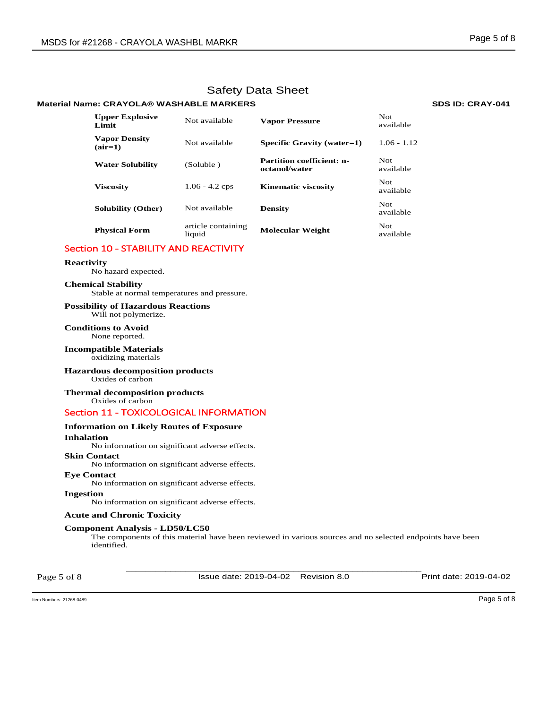## **Material Name: CRAYOLA® WASHABLE MARKERS 
WASHABLE MARKERS**

| <b>Upper Explosive</b><br>Limit   | Not available                | <b>Vapor Pressure</b>                             | Not.<br>available |
|-----------------------------------|------------------------------|---------------------------------------------------|-------------------|
| <b>Vapor Density</b><br>$(air=1)$ | Not available                | Specific Gravity (water=1)                        | $1.06 - 1.12$     |
| <b>Water Solubility</b>           | (Soluble)                    | <b>Partition coefficient: n-</b><br>octanol/water | Not.<br>available |
| <b>Viscosity</b>                  | $1.06 - 4.2$ cps             | <b>Kinematic viscosity</b>                        | Not.<br>available |
| <b>Solubility (Other)</b>         | Not available                | <b>Density</b>                                    | Not.<br>available |
| <b>Physical Form</b>              | article containing<br>liquid | <b>Molecular Weight</b>                           | Not.<br>available |

# Section 10 - STABILITY AND REACTIVITY

# **Reactivity**

No hazard expected.

### **Chemical Stability**

Stable at normal temperatures and pressure.

#### **Possibility of Hazardous Reactions** Will not polymerize.

**Conditions to Avoid** None reported.

#### **Incompatible Materials** oxidizing materials

# **Hazardous decomposition products**

Oxides of carbon

# **Thermal decomposition products**

Oxides of carbon

# Section 11 - TOXICOLOGICAL INFORMATION

# **Information on Likely Routes of Exposure**

**Inhalation**  No information on significant adverse effects.

## **Skin Contact**

No information on significant adverse effects.

### **Eye Contact**

No information on significant adverse effects.

## **Ingestion**

No information on significant adverse effects.

## **Acute and Chronic Toxicity**

# **Component Analysis - LD50/LC50**

The components of this material have been reviewed in various sources and no selected endpoints have been identified.

Page 5 of 8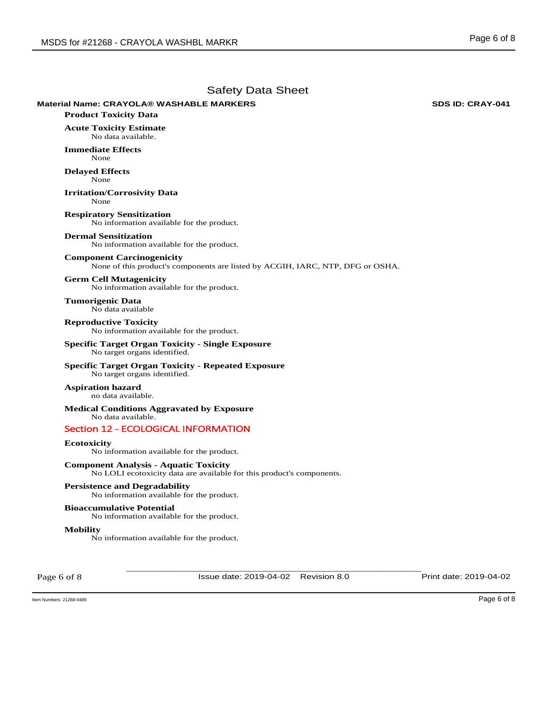# **Material Name: CRAYOLA® WASHABLE MARKERS 
WASHABLE MARKERS**

**Product Toxicity Data** 

**Acute Toxicity Estimate**  No data available.

**Immediate Effects**  None

**Delayed Effects**  None

**Irritation/Corrosivity Data**  None

**Respiratory Sensitization**  No information available for the product.

#### **Dermal Sensitization**

No information available for the product.

### **Component Carcinogenicity**

None of this product's components are listed by ACGIH, IARC, NTP, DFG or OSHA.

## **Germ Cell Mutagenicity**

No information available for the product.

**Tumorigenic Data**  No data available

#### **Reproductive Toxicity**  No information available for the product.

**Specific Target Organ Toxicity - Single Exposure**  No target organs identified.

# **Specific Target Organ Toxicity - Repeated Exposure**

No target organs identified.

#### **Aspiration hazard**  no data available.

**Medical Conditions Aggravated by Exposure** No data available.

# Section 12 - ECOLOGICAL INFORMATION

### **Ecotoxicity**

No information available for the product.

# **Component Analysis - Aquatic Toxicity**

No LOLI ecotoxicity data are available for this product's components.

## **Persistence and Degradability**

No information available for the product.

# **Bioaccumulative Potential**

No information available for the product.

#### **Mobility**

No information available for the product.

Page 6 of 8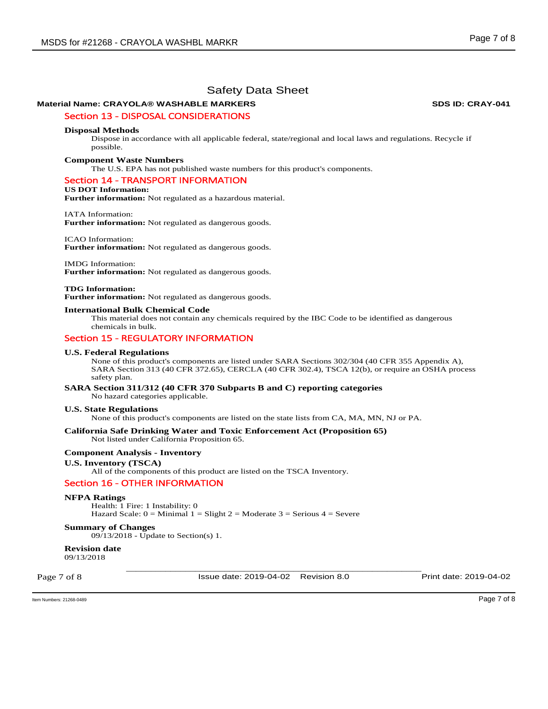# **Material Name: CRAYOLA® WASHABLE MARKERS 
WASHABLE MARKERS**

# Section 13 - DISPOSAL CONSIDERATIONS

#### **Disposal Methods**

Dispose in accordance with all applicable federal, state/regional and local laws and regulations. Recycle if possible.

#### **Component Waste Numbers**

The U.S. EPA has not published waste numbers for this product's components.

# Section 14 - TRANSPORT INFORMATION

#### **US DOT Information:**

**Further information:** Not regulated as a hazardous material.

#### IATA Information:

**Further information:** Not regulated as dangerous goods.

#### ICAO Information:

**Further information:** Not regulated as dangerous goods.

IMDG Information: **Further information:** Not regulated as dangerous goods.

#### **TDG Information:**

**Further information:** Not regulated as dangerous goods.

#### **International Bulk Chemical Code**

This material does not contain any chemicals required by the IBC Code to be identified as dangerous chemicals in bulk.

## Section 15 - REGULATORY INFORMATION

#### **U.S. Federal Regulations**

None of this product's components are listed under SARA Sections 302/304 (40 CFR 355 Appendix A), SARA Section 313 (40 CFR 372.65), CERCLA (40 CFR 302.4), TSCA 12(b), or require an OSHA process safety plan.

**SARA Section 311/312 (40 CFR 370 Subparts B and C) reporting categories**  No hazard categories applicable.

#### **U.S. State Regulations**

None of this product's components are listed on the state lists from CA, MA, MN, NJ or PA.

#### **California Safe Drinking Water and Toxic Enforcement Act (Proposition 65)**  Not listed under California Proposition 65.

#### **Component Analysis - Inventory**

#### **U.S. Inventory (TSCA)**

All of the components of this product are listed on the TSCA Inventory.

## Section 16 - OTHER INFORMATION

#### **NFPA Ratings**

Health: 1 Fire: 1 Instability: 0 Hazard Scale:  $0 =$  Minimal  $1 =$  Slight  $2 =$  Moderate  $3 =$  Serious  $4 =$  Severe

## **Summary of Changes**

09/13/2018 - Update to Section(s) 1.

**Revision date** 

09/13/2018

Page 7 of 8